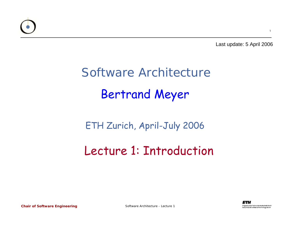

Last update: 5 April 2006

## Software ArchitectureBertrand Meyer

#### ETH Zurich, April-July 2006

### Lecture 1: Introduction

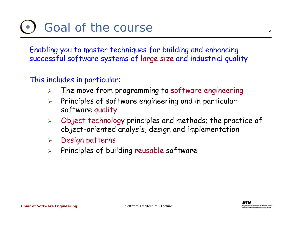# Goal of the course

Enabling you to master techniques for building and enhancing successful software systems of large size and industrial quality

#### This includes in particular:

- ¾The move from programming to software engineering
- $\blacktriangleright$  Principles of software engineering and in particular software quality
- $\blacktriangleright$  Object technology principles and methods; the practice of object-oriented analysis, design and implementation
- ¾Design patterns
- $\blacktriangleright$ Principles of building reusable software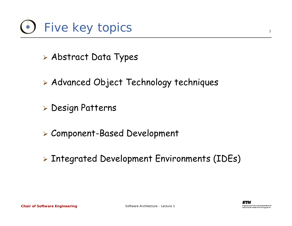

- ¾ Abstract Data Types
- ¾ Advanced Object Technology techniques
- ¾ Design Patterns
- ¾ Component-Based Development
- ¾ Integrated Development Environments (IDEs)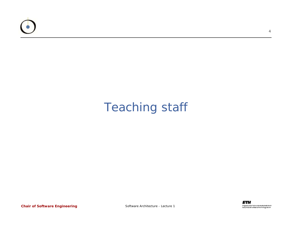

### Teaching staff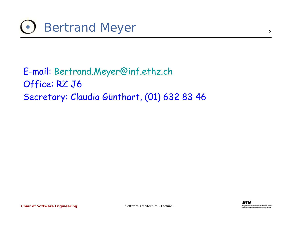

E-mail: [Bertrand.Meyer@inf.ethz.ch](mailto:Bertrand.Meyer@inf.ethz.ch) Office: RZ J6 Secretary: Claudia Günthart, (01) 632 83 46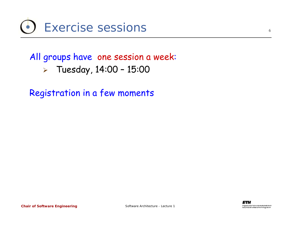### All groups have one session a week: ¾ Tuesday, 14:00 – 15:00

Registration in a few moments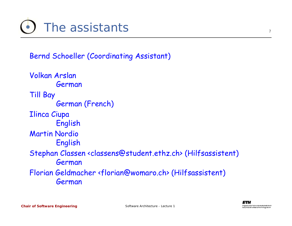Bernd Schoeller (Coordinating Assistant)

Volkan Arslan German Till Bay German (French) Ilinca Ciupa English Martin Nordio English Stephan Classen <classens@student.ethz.ch> (Hilfsassistent) German Florian Geldmacher <florian@womaro.ch> (Hilfsassistent) German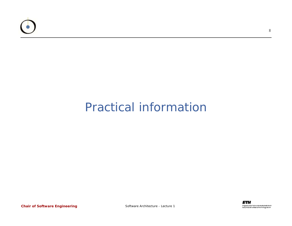

### Practical information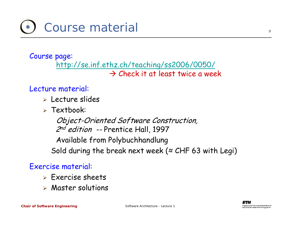

#### Course page: <http://se.inf.ethz.ch/teaching/ss2006/0050/>  $\rightarrow$  Check it at least twice a week

#### Lecture material:

- ¾ Lecture slides
- ¾ Textbook:

Object-Oriented Software Construction, 2<sup>nd</sup> edition -- Prentice Hall, 1997 Available from Polybuchhandlung Sold during the break next week ( $\approx$  CHF 63 with Legi)

#### Exercise material:

- $\triangleright$  Exercise sheets
- ¾ Master solutions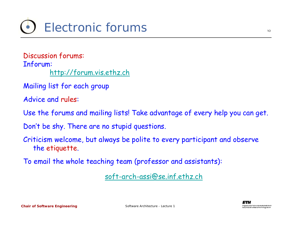Discussion forums: Inforum: [http://forum.vis.ethz.ch](http://forum.vis.ethz.ch/)

Mailing list for each group

Advice and rules:

Use the forums and mailing lists! Take advantage of every help you can get.

Don't be shy. There are no stupid questions.

Criticism welcome, but always be polite to every participant and observe the etiquette.

To email the whole teaching team (professor and assistants):

[soft-arch-assi@se.inf.ethz.ch](mailto:soft-arch-assi@se.inf.ethz.ch)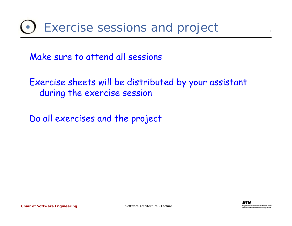Make sure to attend all sessions

Exercise sheets will be distributed by your assistant during the exercise session

Do all exercises and the project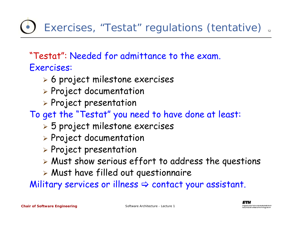Exercises, "Testat" regulations (tentative)

"Testat": Needed for admittance to the exam. Exercises:

- ¾ 6 project milestone exercises
- ¾ Project documentation
- ¾ Project presentation

To get the "Testat" you need to have done at least:

- ¾ 5 project milestone exercises
- ¾ Project documentation
- ¾ Project presentation
- $\triangleright$  Must show serious effort to address the questions
- ¾ Must have filled out questionnaire

Military services or illness  $\Rightarrow$  contact your assistant.

12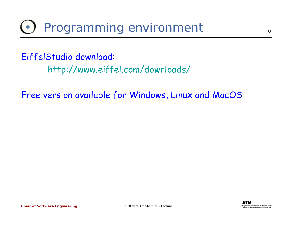## Programming environment

EiffelStudio download: <http://www.eiffel.com/downloads/>

Free version available for Windows, Linux and MacOS

13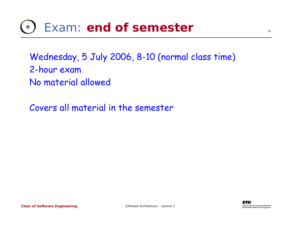# Exam: **end of semester**

Wednesday, 5 July 2006, 8-10 (normal class time) 2-hour exam No material allowed

Covers all material in the semester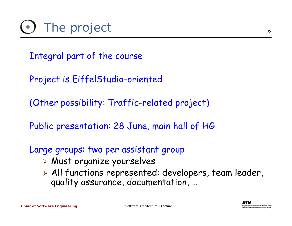Integral part of the course

Project is EiffelStudio-oriented

(Other possibility: Traffic-related project)

Public presentation: 28 June, main hall of HG

Large groups: two per assistant group

- ¾ Must organize yourselves
- ¾ All functions represented: developers, team leader, quality assurance, documentation, …

15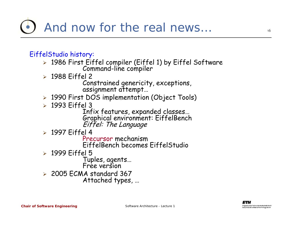#### EiffelStudio history:

- ¾ 1986 First Eiffel compiler (Eiffel 1) by Eiffel Software Command-line compiler
- ¾ 1988 Eiffel 2

Constrained genericity, exceptions, assignment attempt…

- ¾ 1990 First DOS implementation (Object Tools)
- ¾ 1993 Eiffel 3

Infix features, expanded classes...<br>Graphical environment: EiffelBench<br>Eiffel: The Language

¾ 1997 Eiffel 4

Precursor mechanism EiffelBench becomes EiffelStudio

¾ 1999 Eiffel 5

Tuples, agents… Free version

¾ 2005 ECMA standard 367

Attached types, …

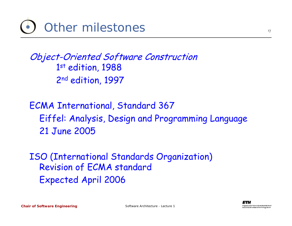

### Object-Oriented Software Construction 1st edition, 1988 2<sup>nd</sup> edition, 1997

### ECMA International, Standard 367 Eiffel: Analysis, Design and Programming Language 21 June 2005

ISO (International Standards Organization) Revision of ECMA standard Expected April 2006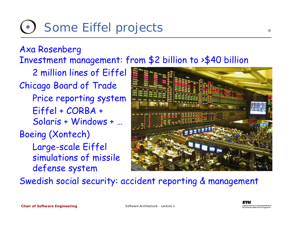#### Axa Rosenberg Investment management: from \$2 billion to >\$40 billion

2 million lines of Eiffel Chicago Board of Trade Price reporting system Eiffel + CORBA + Solaris + Windows + … Boeing (Xontech) Large-scale Eiffel simulations of missile defense system



Swedish social security: accident reporting & management

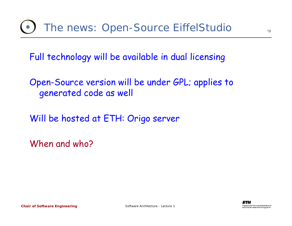Full technology will be available in dual licensing

Open-Source version will be under GPL; applies to generated code as well

Will be hosted at ETH: Origo server

When and who?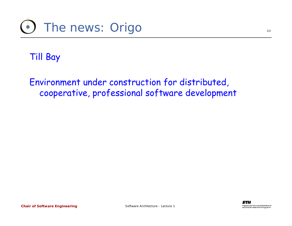### Till Bay

Environment under construction for distributed, cooperative, professional software development

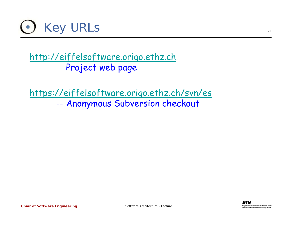

[http://eiffelsoftware.origo.ethz.ch](http://eiffelsoftware.origo.ethz.ch/) --Project web page

<https://eiffelsoftware.origo.ethz.ch/svn/es> --Anonymous Subversion checkout

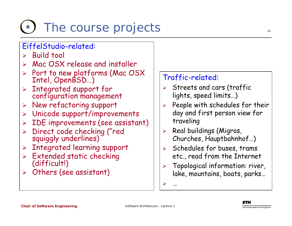# The course projects

#### EiffelStudio-related:

- $\triangleright$  Build tool
- ¾Mac OSX release and installer
- ¾Port to new platforms (Mac OSX Intel, OpenBSD…)
- > Integrated support for configuration management
- ¾ New refactoring suppor<sup>t</sup>
- ¾Unicode support/improvements
- ¾IDE improvements (see assistant)
- ¾ Direct code checking ("red squiggly underlines)
- ¾Integrated learning support
- ¾ Extended static checking (difficult!)
- $\triangleright$  Others (see assistant)

#### Traffic-related:

- ¾ Streets and cars (traffic lights, speed limits…)
- $\blacktriangleright$  People with schedules for their day and first person view for traveling
- ¾ Real buildings (Migros, Churches, Hauptbahnhof…)
- $\blacktriangleright$  Schedules for buses, trams etc., read from the Internet
- ¾ Topological information: river, lake, mountains, boats, parks…

¾…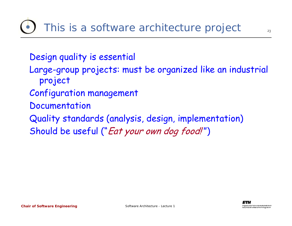Design quality is essential

- Large-group projects: must be organized like an industrial project
- Configuration management
- Documentation
- Quality standards (analysis, design, implementation) Should be useful ("Eat your own dog food!")

23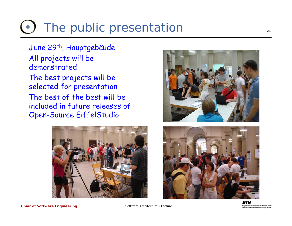# The public presentation

June 29<sup>th</sup>, Hauptgebäude All projects will be demonstrated

The best projects will be selected for presentation The best of the best will be included in future releases of Open-Source EiffelStudio





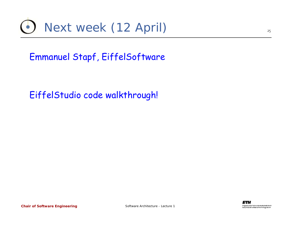

Emmanuel Stapf, EiffelSoftware

EiffelStudio code walkthrough!

25

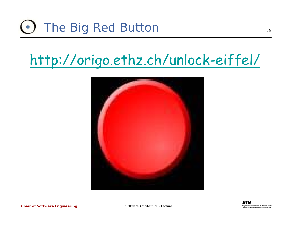# The Big Red Button

## <http://origo.ethz.ch/unlock-eiffel/>





#### *Chair of Software Engineering*